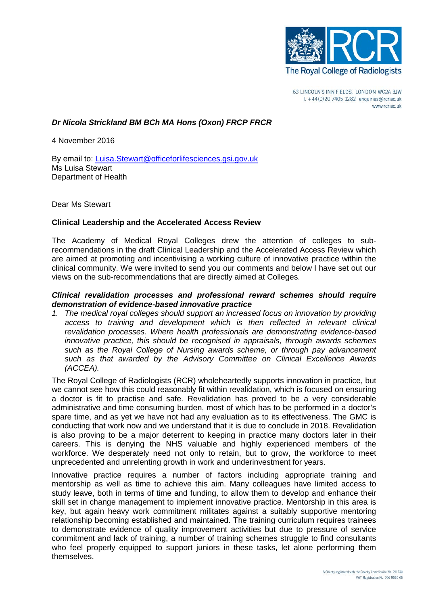

63 LINCOLN'S INN FIELDS, LONDON WC2A 3JW T. +44(0)20 7405 1282 enquiries@rcr.ac.uk www.rcr.ac.uk

### *Dr Nicola Strickland BM BCh MA Hons (Oxon) FRCP FRCR*

4 November 2016

By email to: [Luisa.Stewart@officeforlifesciences.gsi.gov.uk](mailto:Luisa.Stewart@officeforlifesciences.gsi.gov.uk) Ms Luisa Stewart Department of Health

Dear Ms Stewart

### **Clinical Leadership and the Accelerated Access Review**

The Academy of Medical Royal Colleges drew the attention of colleges to subrecommendations in the draft Clinical Leadership and the Accelerated Access Review which are aimed at promoting and incentivising a working culture of innovative practice within the clinical community. We were invited to send you our comments and below I have set out our views on the sub-recommendations that are directly aimed at Colleges.

## *Clinical revalidation processes and professional reward schemes should require demonstration of evidence-based innovative practice*

*1. The medical royal colleges should support an increased focus on innovation by providing access to training and development which is then reflected in relevant clinical revalidation processes. Where health professionals are demonstrating evidence-based innovative practice, this should be recognised in appraisals, through awards schemes such as the Royal College of Nursing awards scheme, or through pay advancement such as that awarded by the Advisory Committee on Clinical Excellence Awards (ACCEA).*

The Royal College of Radiologists (RCR) wholeheartedly supports innovation in practice, but we cannot see how this could reasonably fit within revalidation, which is focused on ensuring a doctor is fit to practise and safe. Revalidation has proved to be a very considerable administrative and time consuming burden, most of which has to be performed in a doctor's spare time, and as yet we have not had any evaluation as to its effectiveness. The GMC is conducting that work now and we understand that it is due to conclude in 2018. Revalidation is also proving to be a major deterrent to keeping in practice many doctors later in their careers. This is denying the NHS valuable and highly experienced members of the workforce. We desperately need not only to retain, but to grow, the workforce to meet unprecedented and unrelenting growth in work and underinvestment for years.

Innovative practice requires a number of factors including appropriate training and mentorship as well as time to achieve this aim. Many colleagues have limited access to study leave, both in terms of time and funding, to allow them to develop and enhance their skill set in change management to implement innovative practice. Mentorship in this area is key, but again heavy work commitment militates against a suitably supportive mentoring relationship becoming established and maintained. The training curriculum requires trainees to demonstrate evidence of quality improvement activities but due to pressure of service commitment and lack of training, a number of training schemes struggle to find consultants who feel properly equipped to support juniors in these tasks, let alone performing them themselves.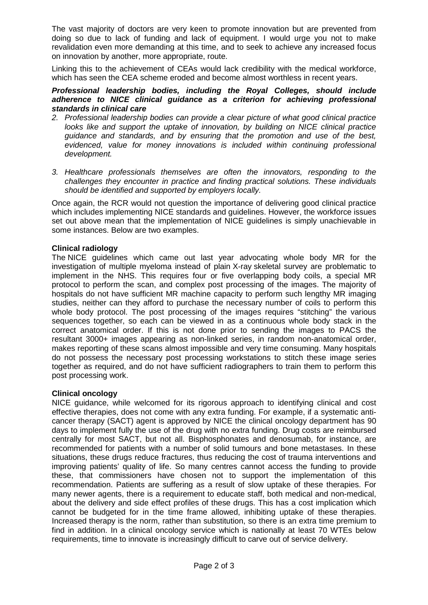The vast majority of doctors are very keen to promote innovation but are prevented from doing so due to lack of funding and lack of equipment. I would urge you not to make revalidation even more demanding at this time, and to seek to achieve any increased focus on innovation by another, more appropriate, route.

Linking this to the achievement of CEAs would lack credibility with the medical workforce, which has seen the CEA scheme eroded and become almost worthless in recent years.

#### *Professional leadership bodies, including the Royal Colleges, should include adherence to NICE clinical guidance as a criterion for achieving professional standards in clinical care*

- *2. Professional leadership bodies can provide a clear picture of what good clinical practice looks like and support the uptake of innovation, by building on NICE clinical practice guidance and standards, and by ensuring that the promotion and use of the best, evidenced, value for money innovations is included within continuing professional development.*
- *3. Healthcare professionals themselves are often the innovators, responding to the challenges they encounter in practice and finding practical solutions. These individuals should be identified and supported by employers locally.*

Once again, the RCR would not question the importance of delivering good clinical practice which includes implementing NICE standards and guidelines. However, the workforce issues set out above mean that the implementation of NICE guidelines is simply unachievable in some instances. Below are two examples.

# **Clinical radiology**

The NICE guidelines which came out last year advocating whole body MR for the investigation of multiple myeloma instead of plain X-ray skeletal survey are problematic to implement in the NHS. This requires four or five overlapping body coils, a special MR protocol to perform the scan, and complex post processing of the images. The majority of hospitals do not have sufficient MR machine capacity to perform such lengthy MR imaging studies, neither can they afford to purchase the necessary number of coils to perform this whole body protocol. The post processing of the images requires "stitching" the various sequences together, so each can be viewed in as a continuous whole body stack in the correct anatomical order. If this is not done prior to sending the images to PACS the resultant 3000+ images appearing as non-linked series, in random non-anatomical order, makes reporting of these scans almost impossible and very time consuming. Many hospitals do not possess the necessary post processing workstations to stitch these image series together as required, and do not have sufficient radiographers to train them to perform this post processing work.

# **Clinical oncology**

NICE guidance, while welcomed for its rigorous approach to identifying clinical and cost effective therapies, does not come with any extra funding. For example, if a systematic anticancer therapy (SACT) agent is approved by NICE the clinical oncology department has 90 days to implement fully the use of the drug with no extra funding. Drug costs are reimbursed centrally for most SACT, but not all. Bisphosphonates and denosumab, for instance, are recommended for patients with a number of solid tumours and bone metastases. In these situations, these drugs reduce fractures, thus reducing the cost of trauma interventions and improving patients' quality of life. So many centres cannot access the funding to provide these, that commissioners have chosen not to support the implementation of this recommendation. Patients are suffering as a result of slow uptake of these therapies. For many newer agents, there is a requirement to educate staff, both medical and non-medical, about the delivery and side effect profiles of these drugs. This has a cost implication which cannot be budgeted for in the time frame allowed, inhibiting uptake of these therapies. Increased therapy is the norm, rather than substitution, so there is an extra time premium to find in addition. In a clinical oncology service which is nationally at least 70 WTEs below requirements, time to innovate is increasingly difficult to carve out of service delivery.